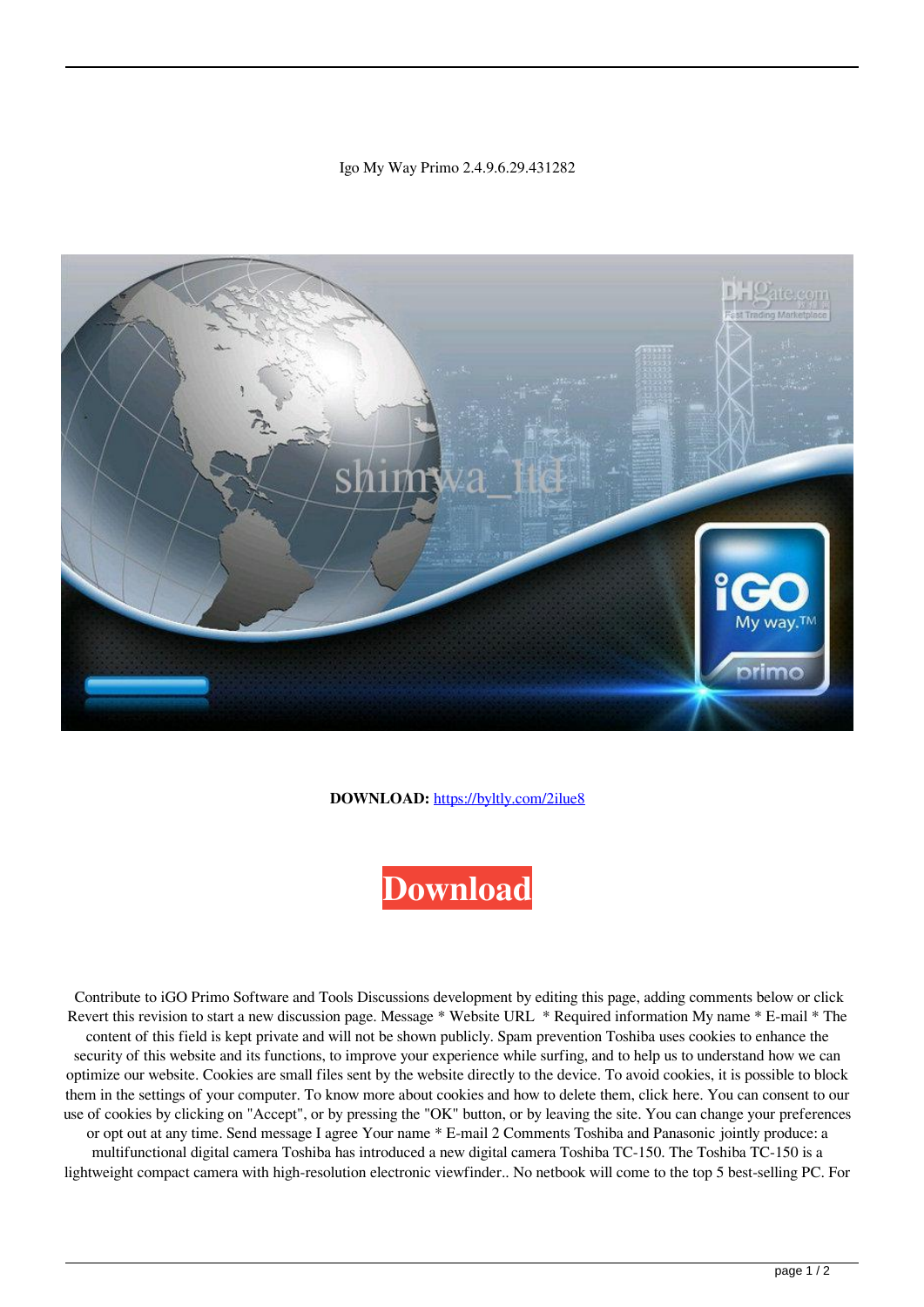## Igo My Way Primo 2.4.9.6.29.431282



**DOWNLOAD:** <https://byltly.com/2ilue8>



 Contribute to iGO Primo Software and Tools Discussions development by editing this page, adding comments below or click Revert this revision to start a new discussion page. Message \* Website URL \* Required information My name \* E-mail \* The content of this field is kept private and will not be shown publicly. Spam prevention Toshiba uses cookies to enhance the security of this website and its functions, to improve your experience while surfing, and to help us to understand how we can optimize our website. Cookies are small files sent by the website directly to the device. To avoid cookies, it is possible to block them in the settings of your computer. To know more about cookies and how to delete them, click here. You can consent to our use of cookies by clicking on "Accept", or by pressing the "OK" button, or by leaving the site. You can change your preferences or opt out at any time. Send message I agree Your name \* E-mail 2 Comments Toshiba and Panasonic jointly produce: a multifunctional digital camera Toshiba has introduced a new digital camera Toshiba TC-150. The Toshiba TC-150 is a lightweight compact camera with high-resolution electronic viewfinder.. No netbook will come to the top 5 best-selling PC. For